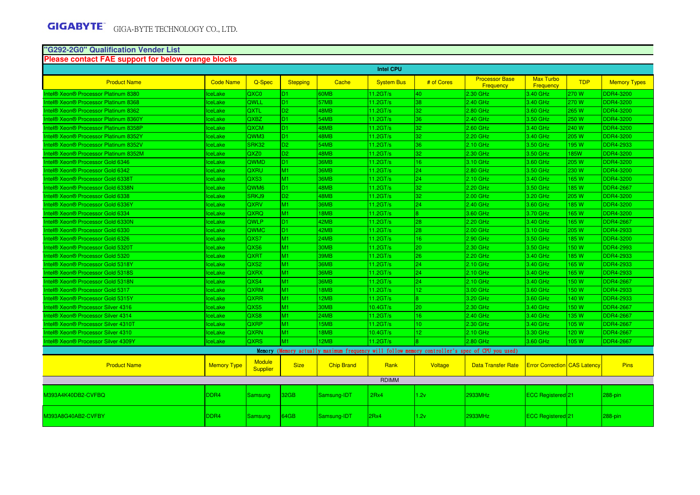#### **"G292-2G0" Qualification Vender List**

#### **Please contact FAE support for below orange blocks**

| <b>Intel CPU</b>                                         |                    |                                  |                 |                   |                      |                 |                                                                                                 |                                     |            |                     |
|----------------------------------------------------------|--------------------|----------------------------------|-----------------|-------------------|----------------------|-----------------|-------------------------------------------------------------------------------------------------|-------------------------------------|------------|---------------------|
| <b>Product Name</b>                                      | <b>Code Name</b>   | Q-Spec                           | <b>Stepping</b> | Cache             | <b>System Bus</b>    | # of Cores      | <b>Processor Base</b><br><b>Frequency</b>                                                       | <b>Max Turbo</b><br>Frequency       | <b>TDP</b> | <b>Memory Types</b> |
| Intel® Xeon® Processor Platinum 8380                     | <b>IceLake</b>     | QXC0                             | D <sub>1</sub>  | 60MB              | $11.2$ GT/s          | 40              | 2.30 GHz                                                                                        | 3.40 GHz                            | 270 W      | <b>DDR4-3200</b>    |
| Intel® Xeon® Processor Platinum 8368                     | <b>IceLake</b>     | <b>QWLL</b>                      | D <sub>1</sub>  | 57MB              | 11.2GT/s             | 38              | 2.40 GHz                                                                                        | 3.40 GHz                            | 270 W      | <b>DDR4-3200</b>    |
| Intel® Xeon® Processor Platinum 8362                     | <b>IceLake</b>     | <b>QXTL</b>                      | D <sub>2</sub>  | 48MB              | 11.2GT/s             | 32              | 2.80 GHz                                                                                        | 3.60 GHz                            | 265 W      | <b>DDR4-3200</b>    |
| Intel® Xeon® Processor Platinum 8360Y                    | <b>IceLake</b>     | QXBZ                             | D <sub>1</sub>  | 54MB              | 11.2GT/s             | 36              | 2.40 GHz                                                                                        | 3.50 GHz                            | 250 W      | <b>DDR4-3200</b>    |
| Intel® Xeon® Processor Platinum 8358P                    | <b>IceLake</b>     | QXCM                             | D <sub>1</sub>  | 48MB              | 11.2GT/s             | 32              | 2.60 GHz                                                                                        | 3.40 GHz                            | 240 W      | <b>DDR4-3200</b>    |
| Intel® Xeon® Processor Platinum 8352Y                    | <b>IceLake</b>     | QWM3                             | D <sub>1</sub>  | 48MB              | 11.2GT/s             | 32              | 2.20 GHz                                                                                        | 3.40 GHz                            | 205 W      | <b>DDR4-3200</b>    |
| Intel® Xeon® Processor Platinum 8352V                    | <b>IceLake</b>     | <b>SRK32</b>                     | D <sub>2</sub>  | 54MB              | 11.2GT/s             | 36              | 2.10 GHz                                                                                        | 3.50 GHz                            | 195 W      | <b>DDR4-2933</b>    |
| Intel® Xeon® Processor Platinum 8352M                    | <b>IceLake</b>     | QXZ0                             | D <sub>2</sub>  | 48MB              | 11.2GT/s             | 32              | 2.30 GHz                                                                                        | 3.50 GHz                            | <b>85W</b> | <b>DDR4-3200</b>    |
| Intel® Xeon® Processor Gold 6346                         | <b>IceLake</b>     | QWMD                             | D <sub>1</sub>  | 36MB              | $11.2$ GT/s          | 16              | 3.10 GHz                                                                                        | 3.60 GHz                            | 205 W      | <b>DDR4-3200</b>    |
| Intel® Xeon® Processor Gold 6342                         | lceLake            | <b>QXRU</b>                      | M1              | 36MB              | 11.2GT/s             | 24              | 2.80 GHz                                                                                        | 3.50 GHz                            | 230 W      | <b>DDR4-3200</b>    |
| Intel® Xeon® Processor Gold 6338T                        | <b>IceLake</b>     | QXS3                             | M1              | 36MB              | 11.2GT/s             | 24              | 2.10 GHz                                                                                        | 3.40 GHz                            | 165 W      | <b>DDR4-3200</b>    |
| Intel® Xeon® Processor Gold 6338N                        | <b>IceLake</b>     | QWM <sub>6</sub>                 | D <sub>1</sub>  | 48MB              | 11.2GT/s             | 32              | 2.20 GHz                                                                                        | 3.50 GHz                            | 185 W      | <b>DDR4-2667</b>    |
| Intel® Xeon® Processor Gold 6338                         | <b>IceLake</b>     | SRKJ9                            | D <sub>2</sub>  | 48MB              | $11.2$ GT/s          | 32              | $2.00$ GHz                                                                                      | 3.20 GHz                            | 205 W      | <b>DDR4-3200</b>    |
| Intel® Xeon® Processor Gold 6336Y                        | <b>IceLake</b>     | <b>QXRV</b>                      | M1              | 36MB              | 11.2GT/s             | 24              | 2.40 GHz                                                                                        | 3.60 GHz                            | 185 W      | <b>DDR4-3200</b>    |
| Intel® Xeon® Processor Gold 6334                         | <b>IceLake</b>     | QXRQ                             | M1              | 18MB              | 11.2GT/s             | l8.             | 3.60 GHz                                                                                        | 3.70 GHz                            | 165 W      | <b>DDR4-3200</b>    |
| Intel® Xeon® Processor Gold 6330N                        | <b>IceLake</b>     | <b>QWLP</b>                      | D <sub>1</sub>  | 42MB              | 11.2GT/s             | 28              | 2.20 GHz                                                                                        | 3.40 GHz                            | 165 W      | <b>DDR4-2667</b>    |
| Intel® Xeon® Processor Gold 6330                         | <b>IceLake</b>     | <b>QWMC</b>                      | D <sub>1</sub>  | 42MB              | 11.2GT/s             | 28              | 2.00 GHz                                                                                        | 3.10 GHz                            | 205 W      | <b>DDR4-2933</b>    |
| Intel <sup>®</sup> Xeon <sup>®</sup> Processor Gold 6326 | <b>IceLake</b>     | QXS7                             | M1              | 24MB              | 11.2GT/s             | 16              | 2.90 GHz                                                                                        | 3.50 GHz                            | 185 W      | <b>DDR4-3200</b>    |
| Intel® Xeon® Processor Gold 5320T                        | <b>IceLake</b>     | QXS6                             | <b>M1</b>       | 30MB              | 11.2GT/s             | 20              | 2.30 GHz                                                                                        | 3.50 GHz                            | 150 W      | <b>DDR4-2993</b>    |
| Intel <sup>®</sup> Xeon <sup>®</sup> Processor Gold 5320 | <b>IceLake</b>     | <b>QXRT</b>                      | M1              | 39MB              | 11.2GT/s             | 26              | 2.20 GHz                                                                                        | 3.40 GHz                            | 185W       | <b>DDR4-2933</b>    |
| Intel® Xeon® Processor Gold 5318Y                        | <b>IceLake</b>     | QXS <sub>2</sub>                 | M1              | 36MB              | $11.2$ GT/s          | 24              | 2.10 GHz                                                                                        | 3.40 GHz                            | 165W       | <b>DDR4-2933</b>    |
| Intel® Xeon® Processor Gold 5318S                        | lceLake            | <b>QXRX</b>                      | M1              | 36MB              | 11.2GT/s             | 24              | 2.10 GHz                                                                                        | 3.40 GHz                            | 165 W      | <b>DDR4-2933</b>    |
| Intel® Xeon® Processor Gold 5318N                        | <b>IceLake</b>     | QXS4                             | M1              | 36MB              | 11.2GT/s             | 24              | 2.10 GHz                                                                                        | 3.40 GHz                            | 150 W      | <b>DDR4-2667</b>    |
| Intel® Xeon® Processor Gold 5317                         | <b>IceLake</b>     | <b>QXRM</b>                      | M1              | 18MB              | $11.2$ GT/s          | 12 <sup>°</sup> | 3.00 GHz                                                                                        | 3.60 GHz                            | 150 W      | <b>DDR4-2933</b>    |
| Intel® Xeon® Processor Gold 5315Y                        | <b>IceLake</b>     | <b>QXRR</b>                      | M1              | 12MB              | 11.2GT/s             | 18.             | 3.20 GHz                                                                                        | 3.60 GHz                            | 140 W      | DDR4-2933           |
| Intel® Xeon® Processor Silver 4316                       | <b>IceLake</b>     | QXS5                             | M1              | 30MB              | 10.4 <sub>GT/s</sub> | 20              | 2.30 GHz                                                                                        | 3.40 GHz                            | 150 W      | <b>DDR4-2667</b>    |
| Intel® Xeon® Processor Silver 4314                       | <b>IceLake</b>     | QXS8                             | <b>M1</b>       | 24MB              | 11.2GT/s             | 16 <sup>°</sup> | 2.40 GHz                                                                                        | 3.40 GHz                            | 135 W      | <b>DDR4-2667</b>    |
| Intel® Xeon® Processor Silver 4310T                      | <b>IceLake</b>     | <b>QXRP</b>                      | M1              | 15MB              | 11.2GT/s             | 10 <sup>°</sup> | 2.30 GHz                                                                                        | 3.40 GHz                            | 105 W      | <b>DDR4-2667</b>    |
| Intel® Xeon® Processor Silver 4310                       | <b>IceLake</b>     | <b>QXRN</b>                      | M1              | 18MB              | 10.4GT/s             | 12 <sub>1</sub> | 2.10 GHz                                                                                        | 3.30 GHz                            | 120 W      | <b>DDR4-2667</b>    |
| Intel® Xeon® Processor Silver 4309Y                      | <b>IceLake</b>     | <b>QXRS</b>                      | M1              | 12MB              | $11.2$ GT/s          | l8.             | 2.80 GHz                                                                                        | 3.60 GHz                            | 105 W      | <b>DDR4-2667</b>    |
|                                                          |                    |                                  |                 |                   |                      |                 | Memory (Memory actually maximum frequency will follow memory controller's spec of CPU you used) |                                     |            |                     |
| <b>Product Name</b>                                      | <b>Memory Type</b> | <b>Module</b><br><b>Supplier</b> | <b>Size</b>     | <b>Chip Brand</b> | Rank                 | Voltage         | <b>Data Transfer Rate</b>                                                                       | <b>Error Correction</b> CAS Latency |            | <b>Pins</b>         |
|                                                          |                    |                                  |                 |                   | <b>RDIMM</b>         |                 |                                                                                                 |                                     |            |                     |
| M393A4K40DB2-CVFBQ                                       | DDR <sub>4</sub>   | Samsung                          | 32GB            | Samsung-IDT       | 2Rx4                 | 1.2v            | 2933MHz                                                                                         | ECC Registered 21                   |            | $288$ -pin          |
| M393A8G40AB2-CVFBY                                       | DDR <sub>4</sub>   | Samsung                          | 64GB            | Samsung-IDT       | 2Rx4                 | 1.2v            | 2933MHz                                                                                         | <b>ECC Registered</b> 21            |            | $288$ -pin          |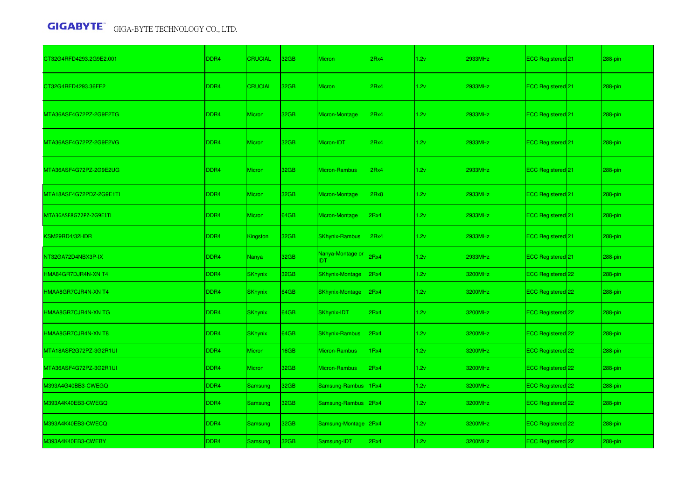| CT32G4RFD4293.2G9E2.001 | DDR <sub>4</sub> | <b>CRUCIAL</b>  | 32GB | <b>Micron</b>                  | 2Rx4 | 1.2v | 2933MHz | ECC Registered 21            | 288-pin    |
|-------------------------|------------------|-----------------|------|--------------------------------|------|------|---------|------------------------------|------------|
| CT32G4RFD4293.36FE2     | DDR <sub>4</sub> | <b>CRUCIAL</b>  | 32GB | <b>Micron</b>                  | 2Rx4 | 1.2v | 2933MHz | ECC Registered 21            | 288-pin    |
| MTA36ASF4G72PZ-2G9E2TG  | DDR <sub>4</sub> | <b>Micron</b>   | 32GB | Micron-Montage                 | 2Rx4 | 1.2v | 2933MHz | ECC Registered <sup>21</sup> | 288-pin    |
| MTA36ASF4G72PZ-2G9E2VG  | DDR <sub>4</sub> | <b>Micron</b>   | 32GB | Micron-IDT                     | 2Rx4 | 1.2v | 2933MHz | ECC Registered 21            | 288-pin    |
| MTA36ASF4G72PZ-2G9E2UG  | DDR <sub>4</sub> | <b>Micron</b>   | 32GB | Micron-Rambus                  | 2Rx4 | 1.2v | 2933MHz | ECC Registered 21            | $288$ -pin |
| MTA18ASF4G72PDZ-2G9E1TI | DDR <sub>4</sub> | <b>Micron</b>   | 32GB | Micron-Montage                 | 2Rx8 | 1.2v | 2933MHz | ECC Registered 21            | 288-pin    |
| MTA36ASF8G72PZ-2G9E1TI  | DDR <sub>4</sub> | Micron          | 64GB | Micron-Montage                 | 2Rx4 | 1.2v | 2933MHz | ECC Registered 21            | 288-pin    |
| KSM29RD4/32HDR          | DDR <sub>4</sub> | <b>Kingston</b> | 32GB | <b>SKhynix-Rambus</b>          | 2Rx4 | 1.2v | 2933MHz | ECC Registered 21            | 288-pin    |
| NT32GA72D4NBX3P-IX      | DDR <sub>4</sub> | <b>Nanya</b>    | 32GB | Nanya-Montage or<br><b>IDT</b> | 2Rx4 | 1.2v | 2933MHz | ECC Registered 21            | 288-pin    |
| HMA84GR7DJR4N-XN T4     | DDR4             | <b>SKhynix</b>  | 32GB | <b>SKhynix-Montage</b>         | 2Rx4 | 1.2v | 3200MHz | ECC Registered 22            | 288-pin    |
| HMAA8GR7CJR4N-XN T4     | DDR <sub>4</sub> | <b>SKhynix</b>  | 64GB | <b>SKhynix-Montage</b>         | 2Rx4 | 1.2v | 3200MHz | ECC Registered 22            | 288-pin    |
| HMAA8GR7CJR4N-XN TG     | DDR <sub>4</sub> | <b>SKhynix</b>  | 64GB | SKhynix-IDT                    | 2Rx4 | 1.2v | 3200MHz | ECC Registered 22            | 288-pin    |
| HMAA8GR7CJR4N-XN T8     | DDR4             | <b>SKhynix</b>  | 64GB | <b>SKhynix-Rambus</b>          | 2Rx4 | 1.2v | 3200MHz | ECC Registered 22            | 288-pin    |
| MTA18ASF2G72PZ-3G2R1UI  | DDR <sub>4</sub> | <b>Micron</b>   | 16GB | Micron-Rambus                  | 1Rx4 | 1.2v | 3200MHz | ECC Registered 22            | 288-pin    |
| MTA36ASF4G72PZ-3G2R1UI  | DDR <sub>4</sub> | <b>Micron</b>   | 32GB | Micron-Rambus                  | 2Rx4 | 1.2v | 3200MHz | ECC Registered 22            | 288-pin    |
| M393A4G40BB3-CWEGQ      | DDR4             | Samsung         | 32GB | Samsung-Rambus                 | 1Rx4 | 1.2v | 3200MHz | ECC Registered 22            | 288-pin    |
| M393A4K40EB3-CWEGQ      | DDR <sub>4</sub> | Samsung         | 32GB | Samsung-Rambus                 | 2Rx4 | 1.2v | 3200MHz | ECC Registered 22            | $288$ -pin |
| M393A4K40EB3-CWECQ      | DDR <sub>4</sub> | Samsung         | 32GB | Samsung-Montage 2Rx4           |      | 1.2v | 3200MHz | ECC Registered 22            | 288-pin    |
| M393A4K40EB3-CWEBY      | DDR4             | Samsung         | 32GB | Samsung-IDT                    | 2Rx4 | 1.2v | 3200MHz | ECC Registered 22            | 288-pin    |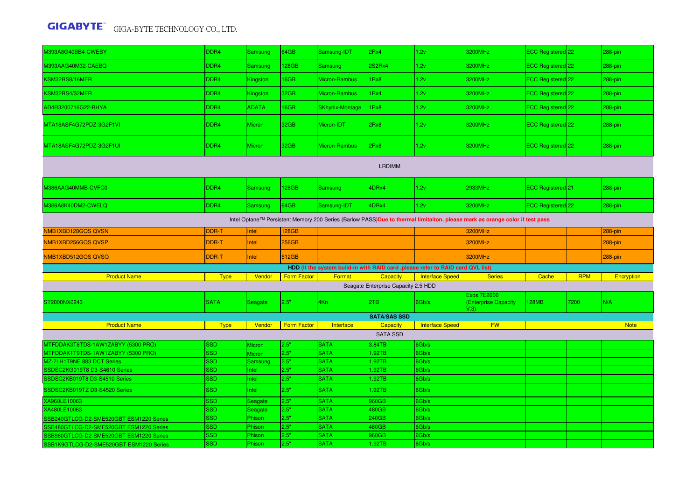| M393A8G40BB4-CWEBY                                                                                                          | DDR4                     | Samsung        | 64GB               | Samsung-IDT                                                                      | 2Rx4                                | 1.2v                   | 3200MHz                                            | ECC Registered 22            |            | 288-pin     |  |  |
|-----------------------------------------------------------------------------------------------------------------------------|--------------------------|----------------|--------------------|----------------------------------------------------------------------------------|-------------------------------------|------------------------|----------------------------------------------------|------------------------------|------------|-------------|--|--|
| M393AAG40M32-CAEBQ                                                                                                          | DDR4                     | Samsung        | 128GB              | <b>Samsung</b>                                                                   | 2S2Rx4                              | 1.2v                   | 3200MHz                                            | ECC Registered 22            |            | 288-pin     |  |  |
| KSM32RS8/16MER                                                                                                              | DDR4                     | Kingston       | 16GB               | Micron-Rambus                                                                    | 1Rx8                                | 1.2v                   | 3200MHz                                            | ECC Registered 22            |            | 288-pin     |  |  |
| KSM32RS4/32MER                                                                                                              | DDR4                     | Kingston       | 32GB               | Micron-Rambus                                                                    | 1Rx4                                | 1.2v                   | 3200MHz                                            | ECC Registered 22            |            | 288-pin     |  |  |
| AD4R3200716G22-BHYA                                                                                                         | DDR4                     | <b>ADATA</b>   | 16GB               | <b>SKhynix-Montage</b>                                                           | 1Rx8                                | 1.2v                   | 3200MHz                                            | ECC Registered 22            |            | 288-pin     |  |  |
| MTA18ASF4G72PDZ-3G2F1VI                                                                                                     | DDR <sub>4</sub>         | <b>Micron</b>  | 32GB               | Micron-IDT                                                                       | 2Rx8                                | 1.2v                   | 3200MHz                                            | ECC Registered 22            |            | 288-pin     |  |  |
| MTA18ASF4G72PDZ-3G2F1UI                                                                                                     | DDR4                     | <b>Micron</b>  | 32GB               | Micron-Rambus                                                                    | 2Rx8                                | 1.2v                   | 3200MHz                                            | ECC Registered 22            |            | 288-pin     |  |  |
| <b>LRDIMM</b>                                                                                                               |                          |                |                    |                                                                                  |                                     |                        |                                                    |                              |            |             |  |  |
| M386AAG40MMB-CVFC0                                                                                                          | DDR4                     | Samsung        | 128GB              | Samsung                                                                          | 4DRx4                               | 1.2v                   | 2933MHz                                            | ECC Registered <sup>21</sup> |            | 288-pin     |  |  |
| M386A8K40DM2-CWELQ                                                                                                          | DDR4                     | Samsung        | 64GB               | Samsung-IDT                                                                      | 4DRx4                               | 1.2v                   | 3200MHz                                            | ECC Registered 22            |            | 288-pin     |  |  |
| Intel Optane™ Persistent Memory 200 Series (Barlow PASS)Due to thermal limitaiton, please mark as orange color if test pass |                          |                |                    |                                                                                  |                                     |                        |                                                    |                              |            |             |  |  |
| NMB1XBD128GQS QVSN                                                                                                          | <b>DDR-T</b>             | Intel          | 128GB              |                                                                                  |                                     |                        | 3200MHz                                            |                              |            | $288$ -pin  |  |  |
| NMB1XBD256GQS QVSP                                                                                                          | DDR-T                    | Intel          | <b>256GB</b>       |                                                                                  |                                     |                        | 3200MHz                                            |                              |            | 288-pin     |  |  |
| NMB1XBD512GQS QVSQ                                                                                                          | DDR-T                    | Intel          | 512GB              |                                                                                  |                                     |                        | 3200MHz                                            |                              |            | 288-pin     |  |  |
|                                                                                                                             |                          |                |                    | HDD (If the system build-in with RAID card , please refer to RAID card QVL list) |                                     |                        |                                                    |                              |            |             |  |  |
| <b>Product Name</b>                                                                                                         | <b>Type</b>              | Vendor         | <b>Form Factor</b> | Format                                                                           | Capacity                            | <b>Interface Speed</b> | <b>Series</b>                                      | Cache                        | <b>RPM</b> | Encryption  |  |  |
|                                                                                                                             |                          |                |                    |                                                                                  | Seagate Enterprise Capacity 2.5 HDD |                        |                                                    |                              |            |             |  |  |
| ST2000NX0243                                                                                                                | <b>SATA</b>              | Seagate        | 2.5"               | 4Kn                                                                              | 2TB                                 | 6Gb/s                  | <b>Exos 7E2000</b><br>(Enterprise Capacity<br>V.3) | <b>128MB</b>                 | 7200       | N/A         |  |  |
|                                                                                                                             |                          |                |                    |                                                                                  | <b>SATA/SAS SSD</b>                 |                        |                                                    |                              |            |             |  |  |
| <b>Product Name</b>                                                                                                         | <b>Type</b>              | Vendor         | <b>Form Factor</b> | Interface                                                                        | Capacity                            | <b>Interface Speed</b> | <b>FW</b>                                          |                              |            | <b>Note</b> |  |  |
|                                                                                                                             |                          |                |                    |                                                                                  | <b>SATA SSD</b>                     |                        |                                                    |                              |            |             |  |  |
| MTFDDAK3T8TDS-1AW1ZABYY (5300 PRO)                                                                                          | <b>SSD</b>               | Micron         | 2.5"               | <b>SATA</b>                                                                      | 3.84TB                              | 6Gb/s                  |                                                    |                              |            |             |  |  |
| MTFDDAK1T9TDS-1AW1ZABYY (5300 PRO)                                                                                          | <b>SSD</b>               | <b>Micron</b>  | 2.5"               | <b>SATA</b>                                                                      | 1.92TB                              | 6Gb/s                  |                                                    |                              |            |             |  |  |
| MZ-7LH1T9NE 883 DCT Series                                                                                                  | <b>SSD</b>               | Samsung        | 2.5"               | <b>SATA</b>                                                                      | 1.92TB                              | 6Gb/s                  |                                                    |                              |            |             |  |  |
| SSDSC2KG019T8 D3-S4610 Series                                                                                               | <b>SSD</b>               | Intel          | 2.5"               | <b>SATA</b>                                                                      | 1.92TB                              | 6Gb/s                  |                                                    |                              |            |             |  |  |
| SSDSC2KB019T8 D3-S4510 Series<br>SSDSC2KB019TZ D3-S4520 Series                                                              | <b>SSD</b><br><b>SSD</b> | Intel<br>Intel | 2.5"<br>2.5"       | <b>SATA</b><br><b>SATA</b>                                                       | 1.92TB<br>1.92TB                    | 6Gb/s<br>6Gb/s         |                                                    |                              |            |             |  |  |
| XA960LE10063                                                                                                                | SSD                      | Seagate        | 2.5"               | <b>SATA</b>                                                                      | 960GB                               | 6Gb/s                  |                                                    |                              |            |             |  |  |
| XA480LE10063                                                                                                                | <b>SSD</b>               | Seagate        | 2.5"               | <b>SATA</b>                                                                      | 480GB                               | 6Gb/s                  |                                                    |                              |            |             |  |  |
| SSB240GTLCG-D2-SME520GBT ESM1220 Series                                                                                     | <b>SSD</b>               | Phison         | 2.5"               | <b>SATA</b>                                                                      | 240GB                               | 6Gb/s                  |                                                    |                              |            |             |  |  |
| SB480GTLCG-D2-SME520GBT ESM1220 Series                                                                                      | SSD                      | Phison         | 2.5"               | <b>SATA</b>                                                                      | 480GB                               | 6Gb/s                  |                                                    |                              |            |             |  |  |
| SSB960GTLCG-D2-SME520GBT ESM1220 Series                                                                                     | SSD                      | Phison         | 2.5"               | <b>SATA</b>                                                                      | 960GB                               | 6Gb/s                  |                                                    |                              |            |             |  |  |
| SSB1K9GTLCG-D2-SME520GBT ESM1220 Series                                                                                     | <b>SSD</b>               | Phison         | 2.5"               | <b>SATA</b>                                                                      | 1.92TB                              | 6Gb/s                  |                                                    |                              |            |             |  |  |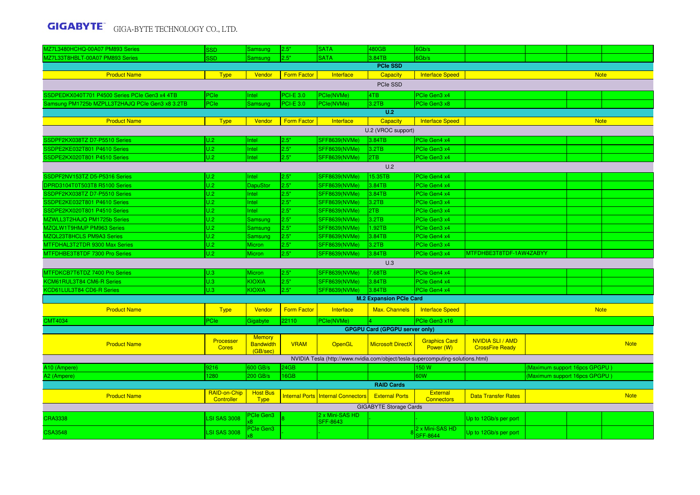| MZ7L3480HCHQ-00A07 PM893 Series                 | <b>SSD</b>                 | <b>Samsung</b>                    | 2.5"               | <b>SATA</b>                                                                     | 480GB                                 | 6Gb/s                                |                                                   |                               |             |             |  |  |
|-------------------------------------------------|----------------------------|-----------------------------------|--------------------|---------------------------------------------------------------------------------|---------------------------------------|--------------------------------------|---------------------------------------------------|-------------------------------|-------------|-------------|--|--|
| MZ7L33T8HBLT-00A07 PM893 Series                 | <b>SSD</b>                 | Samsung                           | 2.5"               | <b>SATA</b>                                                                     | 3.84TB                                | 6Gb/s                                |                                                   |                               |             |             |  |  |
|                                                 |                            |                                   |                    |                                                                                 | <b>PCIe SSD</b>                       |                                      |                                                   |                               |             |             |  |  |
| <b>Product Name</b>                             | <b>Type</b>                | Vendor                            | <b>Form Factor</b> | Interface                                                                       | <b>Capacity</b>                       | <b>Interface Speed</b>               |                                                   |                               | <b>Note</b> |             |  |  |
| PCIe SSD                                        |                            |                                   |                    |                                                                                 |                                       |                                      |                                                   |                               |             |             |  |  |
| SSDPEDKX040T701 P4500 Series PCIe Gen3 x4 4TB   | PCIe                       | Intel                             | <b>PCI-E 3.0</b>   | PCle(NVMe)                                                                      | 4TB                                   | PCIe Gen3 x4                         |                                                   |                               |             |             |  |  |
| Samsung PM1725b MZPLL3T2HAJQ PCIe Gen3 x8 3.2TB | PCIe                       | Samsung                           | <b>PCI-E 3.0</b>   | PCle(NVMe)                                                                      | 3.2TB                                 | PCle Gen3 x8                         |                                                   |                               |             |             |  |  |
|                                                 |                            |                                   |                    |                                                                                 | U.2                                   |                                      |                                                   |                               |             |             |  |  |
| <b>Product Name</b>                             | <b>Type</b>                | Vendor                            | <b>Form Factor</b> | Interface                                                                       | <b>Capacity</b>                       | <b>Interface Speed</b>               |                                                   |                               | <b>Note</b> |             |  |  |
| U.2 (VROC support)                              |                            |                                   |                    |                                                                                 |                                       |                                      |                                                   |                               |             |             |  |  |
| SSDPF2KX038TZ D7-P5510 Series                   | U.2                        | Intel                             | 2.5"               | <b>SFF8639(NVMe)</b>                                                            | 3.84TB                                | PCIe Gen4 x4                         |                                                   |                               |             |             |  |  |
| SSDPE2KE032T801 P4610 Series                    | U.2                        | Intel                             | 2.5"               | <b>SFF8639(NVMe)</b>                                                            | 3.2TB                                 | PCIe Gen3 x4                         |                                                   |                               |             |             |  |  |
| SSDPE2KX020T801 P4510 Series                    | U.2                        | Intel                             | 2.5"               | <b>SFF8639(NVMe)</b>                                                            | 2TB                                   | PCIe Gen3 x4                         |                                                   |                               |             |             |  |  |
| U.2                                             |                            |                                   |                    |                                                                                 |                                       |                                      |                                                   |                               |             |             |  |  |
| SSDPF2NV153TZ D5-P5316 Series                   | U.2                        | Intel                             | 2.5"               | SFF8639(NVMe)                                                                   | 15.35TB                               | PCIe Gen4 x4                         |                                                   |                               |             |             |  |  |
| DPRD3104T0T503T8 R5100 Series                   | U.2                        | <b>DapuStor</b>                   | 2.5"               | <b>SFF8639(NVMe)</b>                                                            | 3.84TB                                | PCIe Gen4 x4                         |                                                   |                               |             |             |  |  |
| SSDPF2KX038TZ D7-P5510 Series                   | U.2                        | Intel                             | 2.5"               | <b>SFF8639(NVMe)</b>                                                            | 3.84TB                                | PCIe Gen4 x4                         |                                                   |                               |             |             |  |  |
| SSDPE2KE032T801 P4610 Series                    | U.2                        | Intel                             | 2.5"               | <b>SFF8639(NVMe)</b>                                                            | 3.2TB                                 | PCIe Gen3 x4                         |                                                   |                               |             |             |  |  |
| SSDPE2KX020T801 P4510 Series                    | U.2                        | Intel                             | 2.5"               | <b>SFF8639(NVMe)</b>                                                            | 2TB                                   | PCIe Gen3 x4                         |                                                   |                               |             |             |  |  |
| MZWLL3T2HAJQ PM1725b Series                     | U.2                        | Samsung                           | 2.5"               | <b>SFF8639(NVMe)</b>                                                            | 3.2TB                                 | PCle Gen3 x4                         |                                                   |                               |             |             |  |  |
| MZQLW1T9HMJP PM963 Series                       | U.2                        | <b>Samsung</b>                    | 2.5"               | <b>SFF8639(NVMe)</b>                                                            | 1.92TB                                | PCIe Gen3 x4                         |                                                   |                               |             |             |  |  |
| MZQL23T8HCLS PM9A3 Series                       | U.2                        | Samsung                           | 2.5"               | <b>SFF8639(NVMe)</b>                                                            | 3.84TB                                | PCIe Gen4 x4                         |                                                   |                               |             |             |  |  |
| MTFDHAL3T2TDR 9300 Max Series                   | U.2                        | Micron                            | 2.5"               | <b>SFF8639(NVMe)</b>                                                            | 3.2TB                                 | PCIe Gen3 x4                         |                                                   |                               |             |             |  |  |
| MTFDHBE3T8TDF 7300 Pro Series                   | U.2                        | <b>Micron</b>                     | 2.5"               | SFF8639(NVMe)                                                                   | 3.84TB                                | PCIe Gen3 x4                         | MTFDHBE3T8TDF-1AW4ZABYY                           |                               |             |             |  |  |
|                                                 |                            |                                   |                    |                                                                                 | U.3                                   |                                      |                                                   |                               |             |             |  |  |
| MTFDKCB7T6TDZ 7400 Pro Series                   | U.3                        | Micron                            | 2.5"               | <b>SFF8639(NVMe)</b>                                                            | 7.68TB                                | PCIe Gen4 x4                         |                                                   |                               |             |             |  |  |
| KCM61RUL3T84 CM6-R Series                       | U.3                        | <b>KIOXIA</b>                     | 2.5"               | <b>SFF8639(NVMe)</b>                                                            | 3.84TB                                | PCIe Gen4 x4                         |                                                   |                               |             |             |  |  |
| KCD61LUL3T84 CD6-R Series                       | U.3                        | <b>KIOXIA</b>                     | 2.5"               | <b>SFF8639(NVMe)</b>                                                            | 3.84TB                                | PCIe Gen4 x4                         |                                                   |                               |             |             |  |  |
|                                                 |                            |                                   |                    |                                                                                 | <b>M.2 Expansion PCIe Card</b>        |                                      |                                                   |                               |             |             |  |  |
| <b>Product Name</b>                             | <b>Type</b>                | Vendor                            | <b>Form Factor</b> | Interface                                                                       | Max. Channels                         | <b>Interface Speed</b>               |                                                   |                               | <b>Note</b> |             |  |  |
| <b>CMT4034</b>                                  | PCle                       | Gigabyte                          | 22110              | PCle(NVMe)                                                                      |                                       | PCIe Gen3 x16                        |                                                   |                               |             |             |  |  |
|                                                 |                            |                                   |                    |                                                                                 | <b>GPGPU Card (GPGPU server only)</b> |                                      |                                                   |                               |             |             |  |  |
| <b>Product Name</b>                             | Processer<br><b>Cores</b>  | <b>Memory</b><br><b>Bandwidth</b> | <b>VRAM</b>        | OpenGL                                                                          | <b>Microsoft DirectX</b>              | <b>Graphics Card</b><br>Power (W)    | <b>NVIDIA SLI / AMD</b><br><b>CrossFire Ready</b> |                               |             | <b>Note</b> |  |  |
|                                                 |                            | (GB/sec)                          |                    | NVIDIA Tesla (http://www.nvidia.com/object/tesla-supercomputing-solutions.html) |                                       |                                      |                                                   |                               |             |             |  |  |
| A10 (Ampere)                                    | 9216                       | 600 GB/s                          | 24GB               |                                                                                 |                                       | 150 W                                |                                                   | (Maximum support 16pcs GPGPU) |             |             |  |  |
| A2 (Ampere)                                     | 1280                       | 200 GB/s                          | 16GB               |                                                                                 |                                       | 60W                                  |                                                   | (Maximum support 16pcs GPGPU) |             |             |  |  |
|                                                 |                            |                                   |                    |                                                                                 | <b>RAID Cards</b>                     |                                      |                                                   |                               |             |             |  |  |
| <b>Product Name</b>                             | RAID-on-Chip<br>Controller | <b>Host Bus</b><br><b>Type</b>    |                    | Internal Ports   Internal Connectors                                            | <b>External Ports</b>                 | <b>External</b><br><b>Connectors</b> | <b>Data Transfer Rates</b>                        |                               |             | <b>Note</b> |  |  |
|                                                 |                            |                                   |                    |                                                                                 | <b>GIGABYTE Storage Cards</b>         |                                      |                                                   |                               |             |             |  |  |
| <b>CRA3338</b>                                  | <b>LSI SAS 3008</b>        | <b>Cle Gen3</b>                   |                    | 2 x Mini-SAS HD<br><b>SFF-8643</b>                                              |                                       |                                      | Up to 12Gb/s per port                             |                               |             |             |  |  |
| <b>CSA3548</b>                                  | <b>LSI SAS 3008</b>        | <sup>P</sup> Cle Gen3             |                    |                                                                                 |                                       | 2 x Mini-SAS HD<br><b>SFF-8644</b>   | Up to 12Gb/s per port                             |                               |             |             |  |  |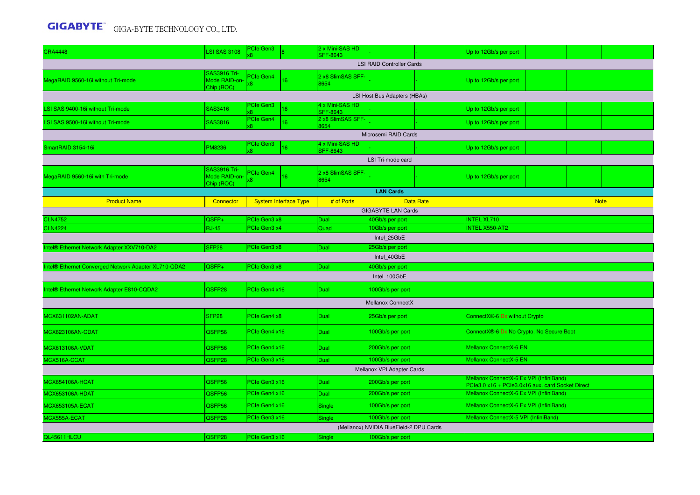| <b>CRA4448</b>                                               | <b>LSI SAS 3108</b>                                | PCIe Gen3                    |                              | 2 x Mini-SAS HD<br><b>SFF-8643</b> |                                         |  | Up to 12Gb/s per port                                                                       |  |  |  |  |
|--------------------------------------------------------------|----------------------------------------------------|------------------------------|------------------------------|------------------------------------|-----------------------------------------|--|---------------------------------------------------------------------------------------------|--|--|--|--|
|                                                              |                                                    |                              |                              |                                    | <b>LSI RAID Controller Cards</b>        |  |                                                                                             |  |  |  |  |
| MegaRAID 9560-16i without Tri-mode                           | <b>SAS3916 Tri-</b><br>Mode RAID-on-<br>Chip (ROC) | PCIe Gen4<br>κ8              | 16 <sup>°</sup>              | 2 x8 SlimSAS SFF-<br>8654          |                                         |  | Up to 12Gb/s per port                                                                       |  |  |  |  |
| LSI Host Bus Adapters (HBAs)<br>4 x Mini-SAS HD<br>PCIe Gen3 |                                                    |                              |                              |                                    |                                         |  |                                                                                             |  |  |  |  |
| LSI SAS 9400-16i without Tri-mode                            | <b>SAS3416</b>                                     | x8                           | 16                           | <b>SFF-8643</b>                    |                                         |  | Up to 12Gb/s per port                                                                       |  |  |  |  |
| LSI SAS 9500-16i without Tri-mode                            | SAS3816                                            | PCIe Gen4<br>x8              | 16 <sup>°</sup>              | 2 x8 SlimSAS SFF-<br>8654          |                                         |  | Up to 12Gb/s per port                                                                       |  |  |  |  |
| Microsemi RAID Cards                                         |                                                    |                              |                              |                                    |                                         |  |                                                                                             |  |  |  |  |
| SmartRAID 3154-16i                                           | <b>PM8236</b>                                      | PCIe Gen3                    | 16 <sup>°</sup>              | 4 x Mini-SAS HD                    |                                         |  | Up to 12Gb/s per port                                                                       |  |  |  |  |
| <b>SFF-8643</b><br>LSI Tri-mode card                         |                                                    |                              |                              |                                    |                                         |  |                                                                                             |  |  |  |  |
| MegaRAID 9560-16i with Tri-mode                              | <b>SAS3916 Tri-</b><br>Mode RAID-on-<br>Chip (ROC) | PCIe Gen4<br>x8              | 16 <sup>°</sup>              | 2 x8 SlimSAS SFF<br>8654           |                                         |  | Up to 12Gb/s per port                                                                       |  |  |  |  |
| <b>LAN Cards</b>                                             |                                                    |                              |                              |                                    |                                         |  |                                                                                             |  |  |  |  |
| <b>Product Name</b>                                          | Connector                                          |                              | <b>System Interface Type</b> | # of Ports                         | <b>Data Rate</b>                        |  | <b>Note</b>                                                                                 |  |  |  |  |
| <b>GIGABYTE LAN Cards</b>                                    |                                                    |                              |                              |                                    |                                         |  |                                                                                             |  |  |  |  |
| <b>CLN4752</b><br><b>CLN4224</b>                             | QSFP+<br><b>RJ-45</b>                              | PCIe Gen3 x8<br>PCIe Gen3 x4 |                              | Dual<br>Quad                       | 40Gb/s per port<br>10Gb/s per port      |  | <b>INTEL XL710</b><br><b>INTEL X550-AT2</b>                                                 |  |  |  |  |
|                                                              |                                                    |                              | Intel_25GbE                  |                                    |                                         |  |                                                                                             |  |  |  |  |
| Intel® Ethernet Network Adapter XXV710-DA2                   | SFP <sub>28</sub>                                  | PCIe Gen3 x8                 |                              | Dual                               | 25Gb/s per port                         |  |                                                                                             |  |  |  |  |
|                                                              |                                                    |                              |                              |                                    | Intel_40GbE                             |  |                                                                                             |  |  |  |  |
| Intel® Ethernet Converged Network Adapter XL710-QDA2         | QSFP+                                              | PCIe Gen3 x8                 |                              | Dual                               | 40Gb/s per port                         |  |                                                                                             |  |  |  |  |
|                                                              |                                                    |                              |                              |                                    | Intel_100GbE                            |  |                                                                                             |  |  |  |  |
| Intel® Ethernet Network Adapter E810-CQDA2                   | QSFP28                                             | PCIe Gen4 x16                |                              | Dual                               | 100Gb/s per port                        |  |                                                                                             |  |  |  |  |
|                                                              |                                                    |                              |                              |                                    | Mellanox ConnectX                       |  |                                                                                             |  |  |  |  |
| MCX631102AN-ADAT                                             | SFP <sub>28</sub>                                  | PCIe Gen4 x8                 |                              | Dual                               | 25Gb/s per port                         |  | ConnectX®-6 Dx without Crypto                                                               |  |  |  |  |
| MCX623106AN-CDAT                                             | QSFP56                                             | PCIe Gen4 x16                |                              | <b>Dual</b>                        | 100Gb/s per port                        |  | ConnectX®-6 Dx No Crypto, No Secure Boot                                                    |  |  |  |  |
| <b>MCX613106A-VDAT</b>                                       | QSFP56                                             | PCIe Gen4 x16                |                              | Dual                               | 200Gb/s per port                        |  | <b>Mellanox ConnectX-6 EN</b>                                                               |  |  |  |  |
| MCX516A-CCAT                                                 | QSFP28                                             | PCIe Gen3 x16                |                              | Dual                               | 100Gb/s per port                        |  | Mellanox ConnectX-5 EN                                                                      |  |  |  |  |
|                                                              |                                                    |                              |                              |                                    | Mellanox VPI Adapter Cards              |  |                                                                                             |  |  |  |  |
| <b>MCX654106A-HCAT</b>                                       | QSFP56                                             | PCIe Gen3 x16                |                              | Dual                               | 200Gb/s per port                        |  | Mellanox ConnectX-6 Ex VPI (InfiniBand)<br>PCle3.0 x16 + PCle3.0x16 aux. card Socket Direct |  |  |  |  |
| <b>MCX653106A-HDAT</b>                                       | QSFP56                                             | PCIe Gen4 x16                |                              | Dual                               | 200Gb/s per port                        |  | Mellanox ConnectX-6 Ex VPI (InfiniBand)                                                     |  |  |  |  |
| MCX653105A-ECAT                                              | QSFP56                                             | PCIe Gen4 x16                |                              | Single                             | 100Gb/s per port                        |  | Mellanox ConnectX-6 Ex VPI (InfiniBand)                                                     |  |  |  |  |
| MCX555A-ECAT                                                 | QSFP28                                             | PCIe Gen3 x16                |                              | Single                             | 100Gb/s per port                        |  | Mellanox ConnectX-5 VPI (InfiniBand)                                                        |  |  |  |  |
|                                                              |                                                    |                              |                              |                                    | (Mellanox) NVIDIA BlueField-2 DPU Cards |  |                                                                                             |  |  |  |  |
| QL45611HLCU                                                  | QSFP28                                             | PCIe Gen3 x16                |                              | Single                             | 100Gb/s per port                        |  |                                                                                             |  |  |  |  |